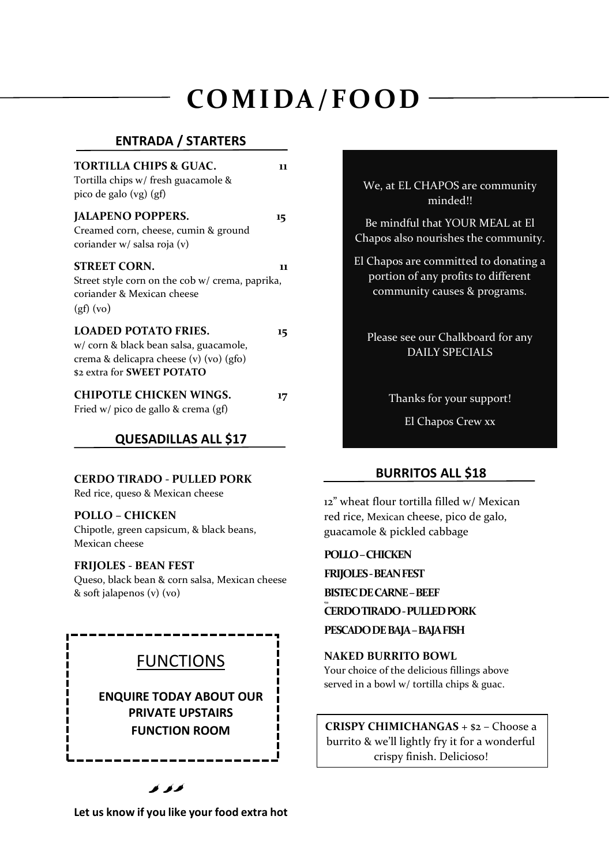# **COM IDA / FOOD**

#### **ENTRADA / STARTERS**

| <b>TORTILLA CHIPS &amp; GUAC.</b><br>Tortilla chips w/ fresh guacamole &<br>pico de galo (vg) (gf)                                                    | 11 |
|-------------------------------------------------------------------------------------------------------------------------------------------------------|----|
| <b>JALAPENO POPPERS.</b><br>Creamed corn, cheese, cumin & ground<br>coriander w/ salsa roja (v)                                                       | 15 |
| <b>STREET CORN.</b><br>Street style corn on the cob w/ crema, paprika,<br>coriander & Mexican cheese<br>(gf)(vo)                                      | 11 |
| <b>LOADED POTATO FRIES.</b><br>w/ corn & black bean salsa, guacamole,<br>crema & delicapra cheese (v) (vo) (gfo)<br>\$2 extra for <b>SWEET POTATO</b> | 15 |
| <b>CHIPOTLE CHICKEN WINGS.</b><br>Fried w/ pico de gallo & crema (gf)                                                                                 | 17 |

#### **QUESADILLAS ALL \$17**

#### **CERDO TIRADO - PULLED PORK**

Red rice, queso & Mexican cheese

#### **POLLO – CHICKEN**

Chipotle, green capsicum, & black beans, Mexican cheese

#### **FRIJOLES - BEAN FEST**

Queso, black bean & corn salsa, Mexican cheese & soft jalapenos (v) (vo)

| <b>FUNCTIONS</b>                                                                  |
|-----------------------------------------------------------------------------------|
| <b>ENQUIRE TODAY ABOUT OUR</b><br><b>PRIVATE UPSTAIRS</b><br><b>FUNCTION ROOM</b> |
| Í<br>s                                                                            |

We, at EL CHAPOS are community minded!!

Be mindful that YOUR MEAL at El Chapos also nourishes the community.

El Chapos are committed to donating a portion of any profits to different community causes & programs.

Please see our Chalkboard for any DAILY SPECIALS

Thanks for your support!

El Chapos Crew xx

### **BURRITOS ALL \$18**

12" wheat flour tortilla filled w/ Mexican red rice, Mexican cheese, pico de galo, guacamole & pickled cabbage

**POLLO –CHICKEN**

**FRIJOLES -BEAN FEST**

**BISTEC DE CARNE –BEEF**

**159 CERDO TIRADO -PULLED PORK**

**PESCADO DE BAJA –BAJA FISH** 

**NAKED BURRITO BOWL**

Your choice of the delicious fillings above served in a bowl w/ tortilla chips & guac.

**CRISPY CHIMICHANGAS** + \$2 – Choose a burrito & we'll lightly fry it for a wonderful crispy finish. Delicioso!

**Let us know if you like your food extra hot**